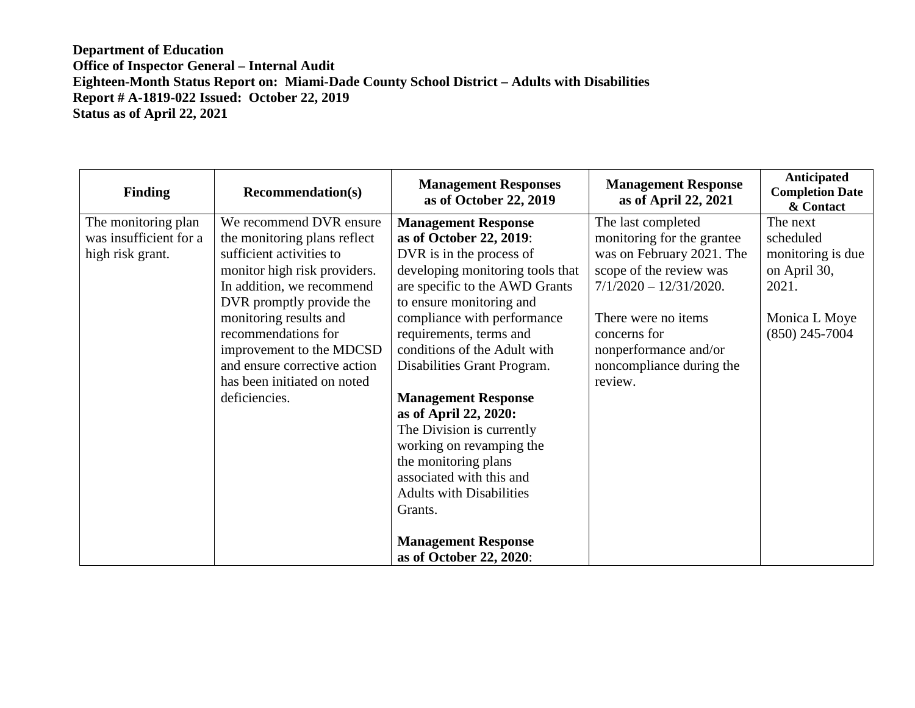| <b>Finding</b>                                | <b>Recommendation(s)</b>                                                                                                                                  | <b>Management Responses</b><br>as of October 22, 2019                                                                                                                                                                                                                                                                        | <b>Management Response</b><br>as of April 22, 2021                                                  | <b>Anticipated</b><br><b>Completion Date</b><br>& Contact |
|-----------------------------------------------|-----------------------------------------------------------------------------------------------------------------------------------------------------------|------------------------------------------------------------------------------------------------------------------------------------------------------------------------------------------------------------------------------------------------------------------------------------------------------------------------------|-----------------------------------------------------------------------------------------------------|-----------------------------------------------------------|
| The monitoring plan<br>was insufficient for a | We recommend DVR ensure<br>the monitoring plans reflect                                                                                                   | <b>Management Response</b><br>as of October 22, 2019:                                                                                                                                                                                                                                                                        | The last completed<br>monitoring for the grantee                                                    | The next<br>scheduled                                     |
| high risk grant.                              | sufficient activities to                                                                                                                                  | DVR is in the process of                                                                                                                                                                                                                                                                                                     | was on February 2021. The                                                                           | monitoring is due                                         |
|                                               | monitor high risk providers.<br>In addition, we recommend                                                                                                 | developing monitoring tools that<br>are specific to the AWD Grants                                                                                                                                                                                                                                                           | scope of the review was<br>$7/1/2020 - 12/31/2020.$                                                 | on April 30,<br>2021.                                     |
|                                               | DVR promptly provide the                                                                                                                                  | to ensure monitoring and                                                                                                                                                                                                                                                                                                     |                                                                                                     |                                                           |
|                                               | monitoring results and<br>recommendations for<br>improvement to the MDCSD<br>and ensure corrective action<br>has been initiated on noted<br>deficiencies. | compliance with performance<br>requirements, terms and<br>conditions of the Adult with<br>Disabilities Grant Program.<br><b>Management Response</b><br>as of April 22, 2020:<br>The Division is currently<br>working on revamping the<br>the monitoring plans<br>associated with this and<br><b>Adults with Disabilities</b> | There were no items<br>concerns for<br>nonperformance and/or<br>noncompliance during the<br>review. | Monica L Moye<br>$(850)$ 245-7004                         |
|                                               |                                                                                                                                                           | Grants.<br><b>Management Response</b><br>as of October 22, 2020:                                                                                                                                                                                                                                                             |                                                                                                     |                                                           |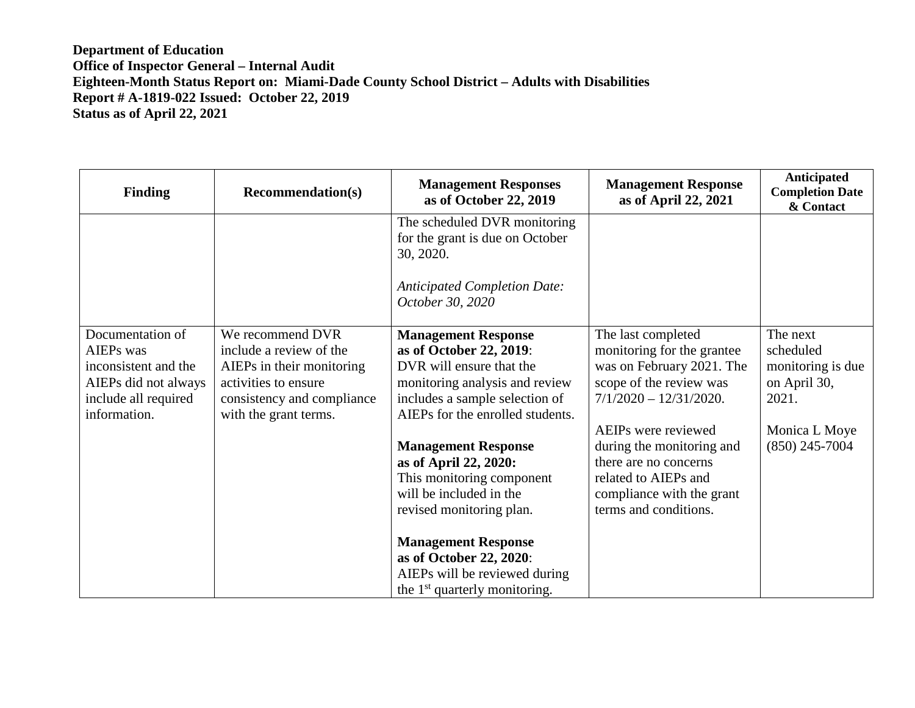| <b>Finding</b>                                                                                                               | <b>Recommendation(s)</b>                                                                                                                                | <b>Management Responses</b><br>as of October 22, 2019                                                                                                                                     | <b>Management Response</b><br>as of April 22, 2021                                                                                                      | Anticipated<br><b>Completion Date</b><br>& Contact                  |
|------------------------------------------------------------------------------------------------------------------------------|---------------------------------------------------------------------------------------------------------------------------------------------------------|-------------------------------------------------------------------------------------------------------------------------------------------------------------------------------------------|---------------------------------------------------------------------------------------------------------------------------------------------------------|---------------------------------------------------------------------|
|                                                                                                                              |                                                                                                                                                         | The scheduled DVR monitoring<br>for the grant is due on October<br>30, 2020.                                                                                                              |                                                                                                                                                         |                                                                     |
|                                                                                                                              |                                                                                                                                                         | <b>Anticipated Completion Date:</b><br>October 30, 2020                                                                                                                                   |                                                                                                                                                         |                                                                     |
| Documentation of<br><b>AIEPs</b> was<br>inconsistent and the<br>AIEPs did not always<br>include all required<br>information. | We recommend DVR<br>include a review of the<br>AIEPs in their monitoring<br>activities to ensure<br>consistency and compliance<br>with the grant terms. | <b>Management Response</b><br>as of October 22, 2019:<br>DVR will ensure that the<br>monitoring analysis and review<br>includes a sample selection of<br>AIEPs for the enrolled students. | The last completed<br>monitoring for the grantee<br>was on February 2021. The<br>scope of the review was<br>$7/1/2020 - 12/31/2020.$                    | The next<br>scheduled<br>monitoring is due<br>on April 30,<br>2021. |
|                                                                                                                              |                                                                                                                                                         | <b>Management Response</b><br>as of April 22, 2020:<br>This monitoring component<br>will be included in the<br>revised monitoring plan.                                                   | AEIPs were reviewed<br>during the monitoring and<br>there are no concerns<br>related to AIEPs and<br>compliance with the grant<br>terms and conditions. | Monica L Moye<br>$(850)$ 245-7004                                   |
|                                                                                                                              |                                                                                                                                                         | <b>Management Response</b><br>as of October 22, 2020:<br>AIEPs will be reviewed during<br>the 1 <sup>st</sup> quarterly monitoring.                                                       |                                                                                                                                                         |                                                                     |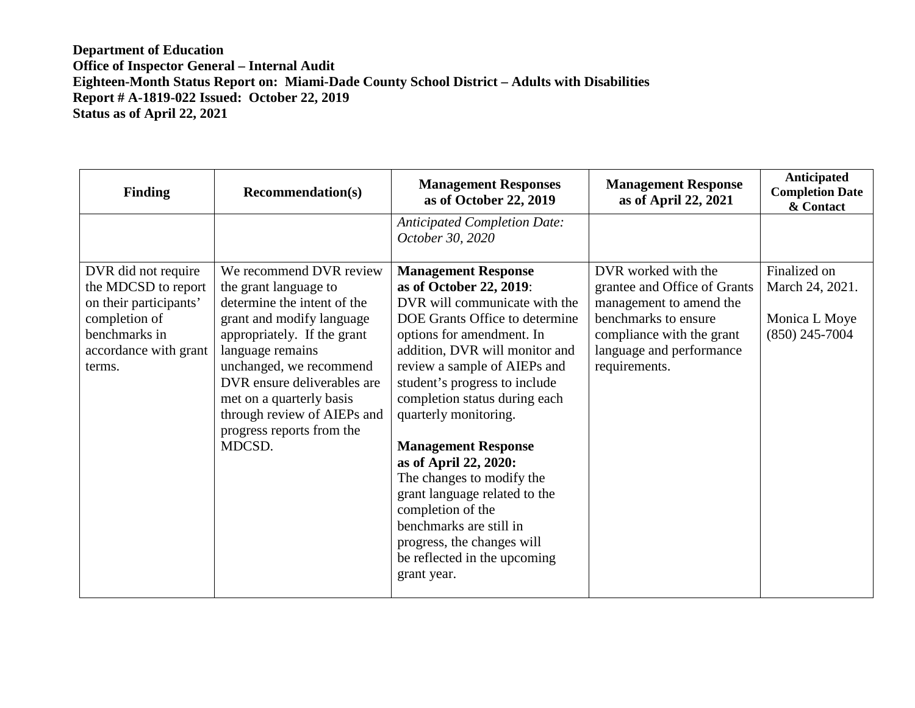| <b>Finding</b>                                                                                                                            | <b>Recommendation(s)</b>                                                                                                                                                                                                                                                                                                    | <b>Management Responses</b><br>as of October 22, 2019                                                                                                                                                                                                                                                                                                                                                                                                                                                                                                                | <b>Management Response</b><br>as of April 22, 2021                                                                                                                               | Anticipated<br><b>Completion Date</b><br>& Contact                   |
|-------------------------------------------------------------------------------------------------------------------------------------------|-----------------------------------------------------------------------------------------------------------------------------------------------------------------------------------------------------------------------------------------------------------------------------------------------------------------------------|----------------------------------------------------------------------------------------------------------------------------------------------------------------------------------------------------------------------------------------------------------------------------------------------------------------------------------------------------------------------------------------------------------------------------------------------------------------------------------------------------------------------------------------------------------------------|----------------------------------------------------------------------------------------------------------------------------------------------------------------------------------|----------------------------------------------------------------------|
|                                                                                                                                           |                                                                                                                                                                                                                                                                                                                             | <b>Anticipated Completion Date:</b><br>October 30, 2020                                                                                                                                                                                                                                                                                                                                                                                                                                                                                                              |                                                                                                                                                                                  |                                                                      |
| DVR did not require<br>the MDCSD to report<br>on their participants'<br>completion of<br>benchmarks in<br>accordance with grant<br>terms. | We recommend DVR review<br>the grant language to<br>determine the intent of the<br>grant and modify language<br>appropriately. If the grant<br>language remains<br>unchanged, we recommend<br>DVR ensure deliverables are<br>met on a quarterly basis<br>through review of AIEPs and<br>progress reports from the<br>MDCSD. | <b>Management Response</b><br>as of October 22, 2019:<br>DVR will communicate with the<br>DOE Grants Office to determine<br>options for amendment. In<br>addition, DVR will monitor and<br>review a sample of AIEPs and<br>student's progress to include<br>completion status during each<br>quarterly monitoring.<br><b>Management Response</b><br>as of April 22, 2020:<br>The changes to modify the<br>grant language related to the<br>completion of the<br>benchmarks are still in<br>progress, the changes will<br>be reflected in the upcoming<br>grant year. | DVR worked with the<br>grantee and Office of Grants<br>management to amend the<br>benchmarks to ensure<br>compliance with the grant<br>language and performance<br>requirements. | Finalized on<br>March 24, 2021.<br>Monica L Moye<br>$(850)$ 245-7004 |